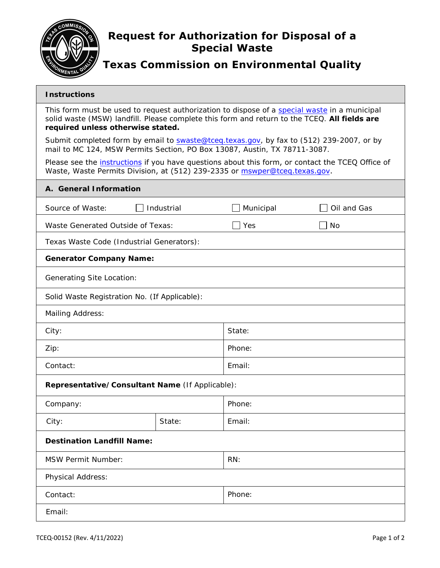

## **Request for Authorization for Disposal of a Special Waste**

## **Texas Commission on Environmental Quality**

## **Instructions**

This form must be used to request authorization to dispose of a [special waste](https://texreg.sos.state.tx.us/public/readtac$ext.TacPage?sl=T&app=2&p_dir=F&p_rloc=201573&p_tloc=44617&p_ploc=29705&pg=4&p_tac=201573&ti=30&pt=1&ch=330&rl=3&z_chk=1301294&z_contains=special%20waste) in a municipal solid waste (MSW) landfill. Please complete this form and return to the TCEQ. **All fields are required unless otherwise stated.**

Submit completed form by email to swaste@tceq.texas.gov, by fax to (512) 239-2007, or by mail to MC 124, MSW Permits Section, PO Box 13087, Austin, TX 78711-3087.

Please see the *[instructions](https://www.tceq.texas.gov/downloads/permitting/waste-permits/msw/forms/00152-instr.pdf)* if you have questions about this form, or contact the TCEQ Office of Waste, Waste Permits Division, at (512) 239-2335 or <u>mswper@tceq.texas.gov</u>.

| Waste, Waste Permits Division, at (512) 239-2335 or mswper@tceq.texas.gov. |            |            |             |  |  |  |
|----------------------------------------------------------------------------|------------|------------|-------------|--|--|--|
| A. General Information                                                     |            |            |             |  |  |  |
| Source of Waste:                                                           | Industrial | Municipal  | Oil and Gas |  |  |  |
| Waste Generated Outside of Texas:                                          |            | $\Box$ Yes | <b>No</b>   |  |  |  |
| Texas Waste Code (Industrial Generators):                                  |            |            |             |  |  |  |
| <b>Generator Company Name:</b>                                             |            |            |             |  |  |  |
| <b>Generating Site Location:</b>                                           |            |            |             |  |  |  |
| Solid Waste Registration No. (If Applicable):                              |            |            |             |  |  |  |
| Mailing Address:                                                           |            |            |             |  |  |  |
| City:                                                                      |            | State:     |             |  |  |  |
| Zip:                                                                       |            | Phone:     |             |  |  |  |
| Contact:                                                                   |            | Email:     |             |  |  |  |
| Representative/Consultant Name (If Applicable):                            |            |            |             |  |  |  |
| Company:                                                                   |            | Phone:     |             |  |  |  |
| City:                                                                      | State:     | Email:     |             |  |  |  |
| <b>Destination Landfill Name:</b>                                          |            |            |             |  |  |  |
| <b>MSW Permit Number:</b>                                                  |            | RN:        |             |  |  |  |
| Physical Address:                                                          |            |            |             |  |  |  |
| Contact:                                                                   |            | Phone:     |             |  |  |  |
| Email:                                                                     |            |            |             |  |  |  |